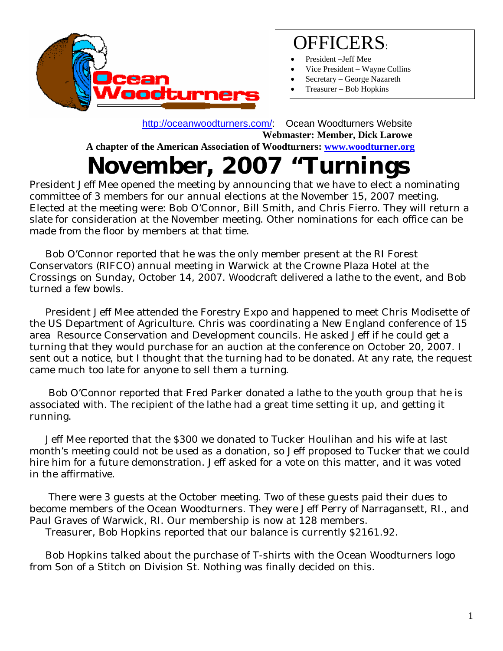

#### OFFICERS:

- President –Jeff Mee
- Vice President Wayne Collins
- Secretary George Nazareth
- Treasurer Bob Hopkins

 <http://oceanwoodturners.com/>: Ocean Woodturners Website **Webmaster: Member, Dick Larowe A chapter of the American Association of Woodturners: [www.woodturner.org](http://www.woodturner.org/)** 

## **November, 2007 "Turnings**

President Jeff Mee opened the meeting by announcing that we have to elect a nominating committee of 3 members for our annual elections at the November 15, 2007 meeting. Elected at the meeting were: Bob O'Connor, Bill Smith, and Chris Fierro. They will return a slate for consideration at the November meeting. Other nominations for each office can be made from the floor by members at that time.

 Bob O'Connor reported that he was the only member present at the RI Forest Conservators (RIFCO) annual meeting in Warwick at the Crowne Plaza Hotel at the Crossings on Sunday, October 14, 2007. Woodcraft delivered a lathe to the event, and Bob turned a few bowls.

 President Jeff Mee attended the Forestry Expo and happened to meet Chris Modisette of the US Department of Agriculture. Chris was coordinating a New England conference of 15 area Resource Conservation and Development councils. He asked Jeff if he could get a turning that they would purchase for an auction at the conference on October 20, 2007. I sent out a notice, but I thought that the turning had to be donated. At any rate, the request came much too late for anyone to sell them a turning.

 Bob O'Connor reported that Fred Parker donated a lathe to the youth group that he is associated with. The recipient of the lathe had a great time setting it up, and getting it running.

 Jeff Mee reported that the \$300 we donated to Tucker Houlihan and his wife at last month's meeting could not be used as a donation, so Jeff proposed to Tucker that we could hire him for a future demonstration. Jeff asked for a vote on this matter, and it was voted in the affirmative.

 There were 3 guests at the October meeting. Two of these guests paid their dues to become members of the Ocean Woodturners. They were Jeff Perry of Narragansett, RI., and Paul Graves of Warwick, RI. Our membership is now at 128 members.

Treasurer, Bob Hopkins reported that our balance is currently \$2161.92.

 Bob Hopkins talked about the purchase of T-shirts with the Ocean Woodturners logo from Son of a Stitch on Division St. Nothing was finally decided on this.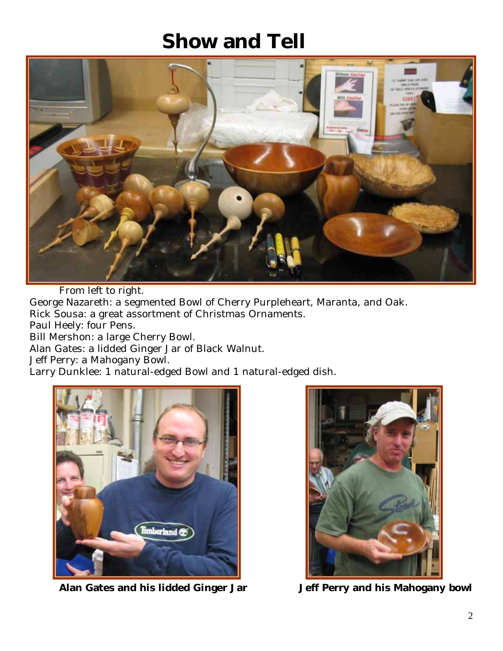### **Show and Tell**



From left to right. George Nazareth: a segmented Bowl of Cherry Purpleheart, Maranta, and Oak. Rick Sousa: a great assortment of Christmas Ornaments. Paul Heely: four Pens. Bill Mershon: a large Cherry Bowl. Alan Gates: a lidded Ginger Jar of Black Walnut. Jeff Perry: a Mahogany Bowl. Larry Dunklee: 1 natural-edged Bowl and 1 natural-edged dish.



**Alan Gates and his lidded Ginger Jar Jeff Perry and his Mahogany bowl**